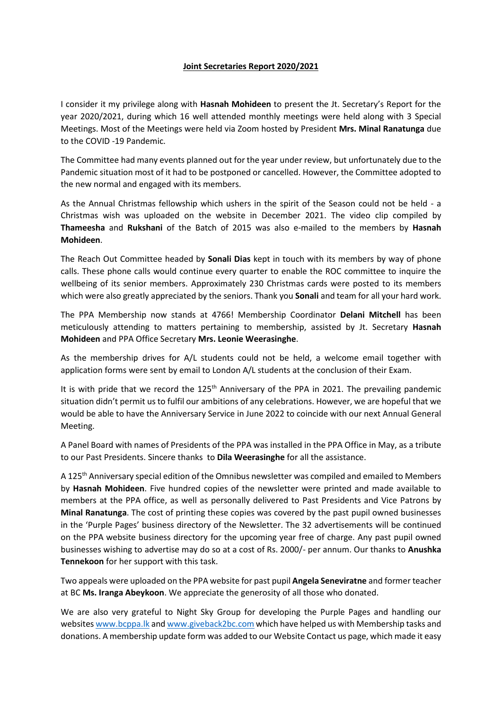## **Joint Secretaries Report 2020/2021**

I consider it my privilege along with **Hasnah Mohideen** to present the Jt. Secretary's Report for the year 2020/2021, during which 16 well attended monthly meetings were held along with 3 Special Meetings. Most of the Meetings were held via Zoom hosted by President **Mrs. Minal Ranatunga** due to the COVID -19 Pandemic.

The Committee had many events planned out for the year under review, but unfortunately due to the Pandemic situation most of it had to be postponed or cancelled. However, the Committee adopted to the new normal and engaged with its members.

As the Annual Christmas fellowship which ushers in the spirit of the Season could not be held - a Christmas wish was uploaded on the website in December 2021. The video clip compiled by **Thameesha** and **Rukshani** of the Batch of 2015 was also e-mailed to the members by **Hasnah Mohideen**.

The Reach Out Committee headed by **Sonali Dias** kept in touch with its members by way of phone calls. These phone calls would continue every quarter to enable the ROC committee to inquire the wellbeing of its senior members. Approximately 230 Christmas cards were posted to its members which were also greatly appreciated by the seniors. Thank you **Sonali** and team for all your hard work.

The PPA Membership now stands at 4766! Membership Coordinator **Delani Mitchell** has been meticulously attending to matters pertaining to membership, assisted by Jt. Secretary **Hasnah Mohideen** and PPA Office Secretary **Mrs. Leonie Weerasinghe**.

As the membership drives for A/L students could not be held, a welcome email together with application forms were sent by email to London A/L students at the conclusion of their Exam.

It is with pride that we record the 125<sup>th</sup> Anniversary of the PPA in 2021. The prevailing pandemic situation didn't permit us to fulfil our ambitions of any celebrations. However, we are hopeful that we would be able to have the Anniversary Service in June 2022 to coincide with our next Annual General Meeting.

A Panel Board with names of Presidents of the PPA was installed in the PPA Office in May, as a tribute to our Past Presidents. Sincere thanks to **Dila Weerasinghe** for all the assistance.

A 125<sup>th</sup> Anniversary special edition of the Omnibus newsletter was compiled and emailed to Members by **Hasnah Mohideen**. Five hundred copies of the newsletter were printed and made available to members at the PPA office, as well as personally delivered to Past Presidents and Vice Patrons by **Minal Ranatunga**. The cost of printing these copies was covered by the past pupil owned businesses in the 'Purple Pages' business directory of the Newsletter. The 32 advertisements will be continued on the PPA website business directory for the upcoming year free of charge. Any past pupil owned businesses wishing to advertise may do so at a cost of Rs. 2000/- per annum. Our thanks to **Anushka Tennekoon** for her support with this task.

Two appeals were uploaded on the PPA website for past pupil **Angela Seneviratne** and former teacher at BC **Ms. Iranga Abeykoon**. We appreciate the generosity of all those who donated.

We are also very grateful to Night Sky Group for developing the Purple Pages and handling our website[s www.bcppa.lk](http://www.bcppa.lk/) an[d www.giveback2bc.com](http://www.giveback2bc.com/) which have helped us with Membership tasks and donations. A membership update form was added to our Website Contact us page, which made it easy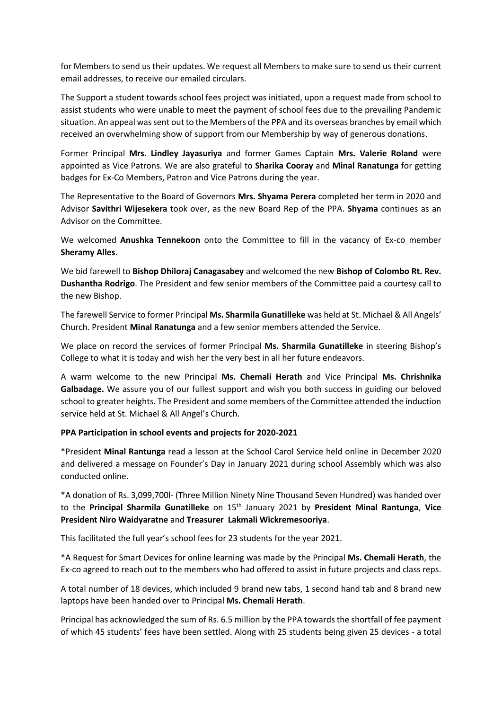for Members to send us their updates. We request all Members to make sure to send us their current email addresses, to receive our emailed circulars.

The Support a student towards school fees project was initiated, upon a request made from school to assist students who were unable to meet the payment of school fees due to the prevailing Pandemic situation. An appeal was sent out to the Members of the PPA and its overseas branches by email which received an overwhelming show of support from our Membership by way of generous donations.

Former Principal **Mrs. Lindley Jayasuriya** and former Games Captain **Mrs. Valerie Roland** were appointed as Vice Patrons. We are also grateful to **Sharika Cooray** and **Minal Ranatunga** for getting badges for Ex-Co Members, Patron and Vice Patrons during the year.

The Representative to the Board of Governors **Mrs. Shyama Perera** completed her term in 2020 and Advisor **Savithri Wijesekera** took over, as the new Board Rep of the PPA. **Shyama** continues as an Advisor on the Committee.

We welcomed **Anushka Tennekoon** onto the Committee to fill in the vacancy of Ex-co member **Sheramy Alles**.

We bid farewell to **Bishop Dhiloraj Canagasabey** and welcomed the new **Bishop of Colombo Rt. Rev. Dushantha Rodrigo**. The President and few senior members of the Committee paid a courtesy call to the new Bishop.

The farewell Service to former Principal **Ms. Sharmila Gunatilleke** was held at St. Michael & All Angels' Church. President **Minal Ranatunga** and a few senior members attended the Service.

We place on record the services of former Principal **Ms. Sharmila Gunatilleke** in steering Bishop's College to what it is today and wish her the very best in all her future endeavors.

A warm welcome to the new Principal **Ms. Chemali Herath** and Vice Principal **Ms. Chrishnika Galbadage.** We assure you of our fullest support and wish you both success in guiding our beloved school to greater heights. The President and some members of the Committee attended the induction service held at St. Michael & All Angel's Church.

## **PPA Participation in school events and projects for 2020-2021**

\*President **Minal Rantunga** read a lesson at the School Carol Service held online in December 2020 and delivered a message on Founder's Day in January 2021 during school Assembly which was also conducted online.

\*A donation of Rs. 3,099,700l- (Three Million Ninety Nine Thousand Seven Hundred) was handed over to the **Principal Sharmila Gunatilleke** on 15th January 2021 by **President Minal Rantunga**, **Vice President Niro Waidyaratne** and **Treasurer Lakmali Wickremesooriya**.

This facilitated the full year's school fees for 23 students for the year 2021.

\*A Request for Smart Devices for online learning was made by the Principal **Ms. Chemali Herath**, the Ex-co agreed to reach out to the members who had offered to assist in future projects and class reps.

A total number of 18 devices, which included 9 brand new tabs, 1 second hand tab and 8 brand new laptops have been handed over to Principal **Ms. Chemali Herath**.

Principal has acknowledged the sum of Rs. 6.5 million by the PPA towards the shortfall of fee payment of which 45 students' fees have been settled. Along with 25 students being given 25 devices - a total